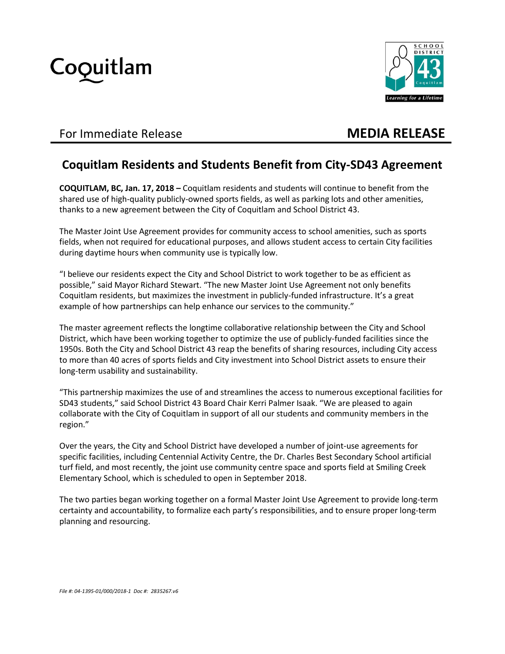



## For Immediate Release **MEDIA RELEASE**

## **Coquitlam Residents and Students Benefit from City-SD43 Agreement**

**COQUITLAM, BC, Jan. 17, 2018 –** Coquitlam residents and students will continue to benefit from the shared use of high-quality publicly-owned sports fields, as well as parking lots and other amenities, thanks to a new agreement between the City of Coquitlam and School District 43.

The Master Joint Use Agreement provides for community access to school amenities, such as sports fields, when not required for educational purposes, and allows student access to certain City facilities during daytime hours when community use is typically low.

"I believe our residents expect the City and School District to work together to be as efficient as possible," said Mayor Richard Stewart. "The new Master Joint Use Agreement not only benefits Coquitlam residents, but maximizes the investment in publicly-funded infrastructure. It's a great example of how partnerships can help enhance our services to the community."

The master agreement reflects the longtime collaborative relationship between the City and School District, which have been working together to optimize the use of publicly-funded facilities since the 1950s. Both the City and School District 43 reap the benefits of sharing resources, including City access to more than 40 acres of sports fields and City investment into School District assets to ensure their long-term usability and sustainability.

"This partnership maximizes the use of and streamlines the access to numerous exceptional facilities for SD43 students," said School District 43 Board Chair Kerri Palmer Isaak. "We are pleased to again collaborate with the City of Coquitlam in support of all our students and community members in the region."

Over the years, the City and School District have developed a number of joint-use agreements for specific facilities, including Centennial Activity Centre, the Dr. Charles Best Secondary School artificial turf field, and most recently, the joint use community centre space and sports field at Smiling Creek Elementary School, which is scheduled to open in September 2018.

The two parties began working together on a formal Master Joint Use Agreement to provide long-term certainty and accountability, to formalize each party's responsibilities, and to ensure proper long-term planning and resourcing.